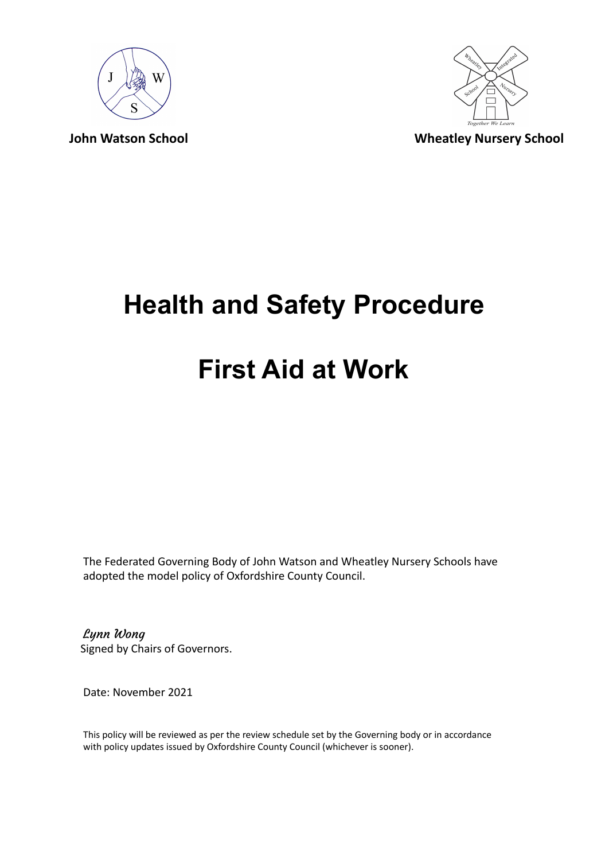



# **Health and Safety Procedure**

### **First Aid at Work**

The Federated Governing Body of John Watson and Wheatley Nursery Schools have adopted the model policy of Oxfordshire County Council.

Lynn Wong Signed by Chairs of Governors.

Date: November 2021

This policy will be reviewed as per the review schedule set by the Governing body or in accordance with policy updates issued by Oxfordshire County Council (whichever is sooner).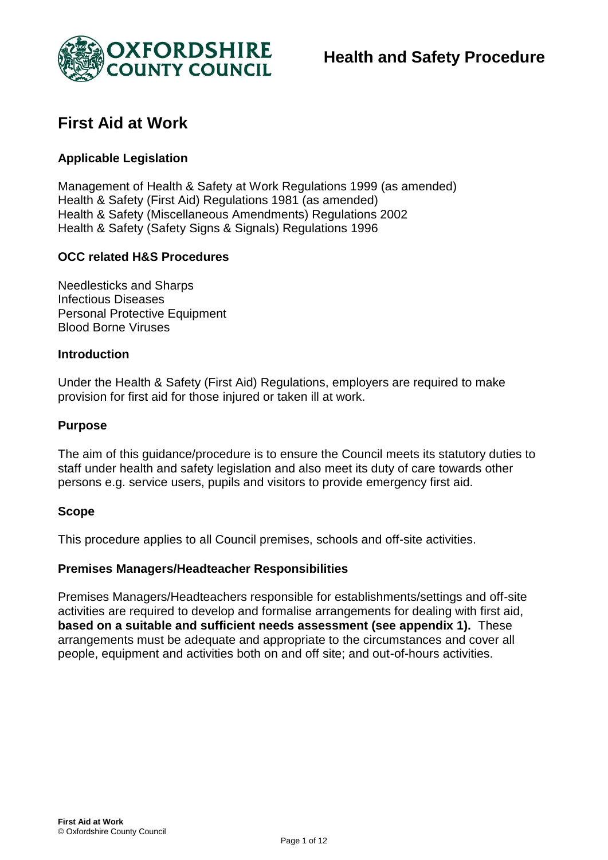

### **First Aid at Work**

#### **Applicable Legislation**

Management of Health & Safety at Work Regulations 1999 (as amended) Health & Safety (First Aid) Regulations 1981 (as amended) Health & Safety (Miscellaneous Amendments) Regulations 2002 Health & Safety (Safety Signs & Signals) Regulations 1996

#### **OCC related H&S Procedures**

Needlesticks and Sharps Infectious Diseases Personal Protective Equipment Blood Borne Viruses

#### **Introduction**

Under the Health & Safety (First Aid) Regulations, employers are required to make provision for first aid for those injured or taken ill at work.

#### **Purpose**

The aim of this guidance/procedure is to ensure the Council meets its statutory duties to staff under health and safety legislation and also meet its duty of care towards other persons e.g. service users, pupils and visitors to provide emergency first aid.

#### **Scope**

This procedure applies to all Council premises, schools and off-site activities.

#### **Premises Managers/Headteacher Responsibilities**

Premises Managers/Headteachers responsible for establishments/settings and off-site activities are required to develop and formalise arrangements for dealing with first aid, **based on a suitable and sufficient needs assessment (see appendix 1).** These arrangements must be adequate and appropriate to the circumstances and cover all people, equipment and activities both on and off site; and out-of-hours activities.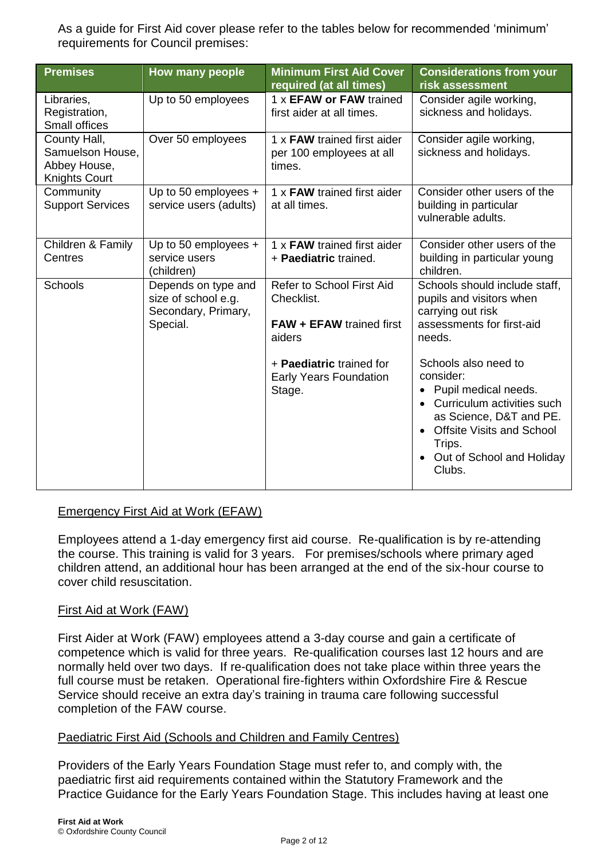As a guide for First Aid cover please refer to the tables below for recommended 'minimum' requirements for Council premises:

| <b>Premises</b>                                                          | How many people                                                               | <b>Minimum First Aid Cover</b><br>required (at all times)                     | <b>Considerations from your</b><br>risk assessment                                                                                                                                                                                |
|--------------------------------------------------------------------------|-------------------------------------------------------------------------------|-------------------------------------------------------------------------------|-----------------------------------------------------------------------------------------------------------------------------------------------------------------------------------------------------------------------------------|
| Libraries,<br>Registration,<br>Small offices                             | Up to 50 employees                                                            | 1 x EFAW or FAW trained<br>first aider at all times.                          | Consider agile working,<br>sickness and holidays.                                                                                                                                                                                 |
| County Hall,<br>Samuelson House,<br>Abbey House,<br><b>Knights Court</b> | Over 50 employees                                                             | 1 x FAW trained first aider<br>per 100 employees at all<br>times.             | Consider agile working,<br>sickness and holidays.                                                                                                                                                                                 |
| Community<br><b>Support Services</b>                                     | Up to 50 employees $+$<br>service users (adults)                              | 1 x FAW trained first aider<br>at all times.                                  | Consider other users of the<br>building in particular<br>vulnerable adults.                                                                                                                                                       |
| Children & Family<br>Centres                                             | Up to 50 employees +<br>service users<br>(children)                           | 1 x FAW trained first aider<br>+ Paediatric trained.                          | Consider other users of the<br>building in particular young<br>children.                                                                                                                                                          |
| Schools                                                                  | Depends on type and<br>size of school e.g.<br>Secondary, Primary,<br>Special. | Refer to School First Aid<br>Checklist.<br>FAW + EFAW trained first<br>aiders | Schools should include staff,<br>pupils and visitors when<br>carrying out risk<br>assessments for first-aid<br>needs.                                                                                                             |
|                                                                          |                                                                               | + Paediatric trained for<br><b>Early Years Foundation</b><br>Stage.           | Schools also need to<br>consider:<br>Pupil medical needs.<br>$\bullet$<br>Curriculum activities such<br>$\bullet$<br>as Science, D&T and PE.<br><b>Offsite Visits and School</b><br>Trips.<br>Out of School and Holiday<br>Clubs. |

#### Emergency First Aid at Work (EFAW)

Employees attend a 1-day emergency first aid course. Re-qualification is by re-attending the course. This training is valid for 3 years. For premises/schools where primary aged children attend, an additional hour has been arranged at the end of the six-hour course to cover child resuscitation.

#### First Aid at Work (FAW)

First Aider at Work (FAW) employees attend a 3-day course and gain a certificate of competence which is valid for three years. Re-qualification courses last 12 hours and are normally held over two days. If re-qualification does not take place within three years the full course must be retaken. Operational fire-fighters within Oxfordshire Fire & Rescue Service should receive an extra day's training in trauma care following successful completion of the FAW course.

#### Paediatric First Aid (Schools and Children and Family Centres)

Providers of the Early Years Foundation Stage must refer to, and comply with, the paediatric first aid requirements contained within the Statutory Framework and the Practice Guidance for the Early Years Foundation Stage. This includes having at least one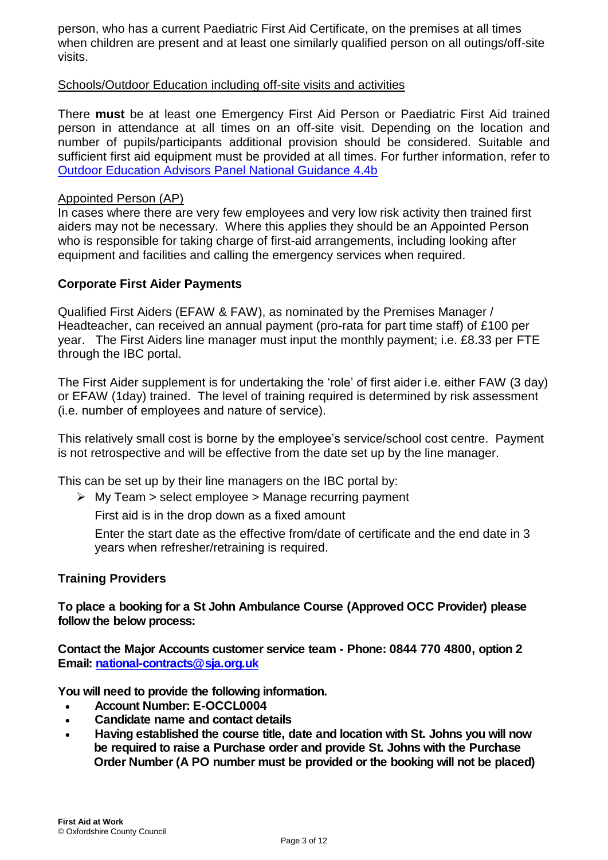person, who has a current Paediatric First Aid Certificate, on the premises at all times when children are present and at least one similarly qualified person on all outings/off-site visits.

#### Schools/Outdoor Education including off-site visits and activities

There **must** be at least one Emergency First Aid Person or Paediatric First Aid trained person in attendance at all times on an off-site visit. Depending on the location and number of pupils/participants additional provision should be considered. Suitable and sufficient first aid equipment must be provided at all times. For further information, refer to Outdoor Education Advisors Panel National Guidance 4.4b

#### Appointed Person (AP)

In cases where there are very few employees and very low risk activity then trained first aiders may not be necessary. Where this applies they should be an Appointed Person who is responsible for taking charge of first-aid arrangements, including looking after equipment and facilities and calling the emergency services when required.

#### **Corporate First Aider Payments**

Qualified First Aiders (EFAW & FAW), as nominated by the Premises Manager / Headteacher, can received an annual payment (pro-rata for part time staff) of £100 per year. The First Aiders line manager must input the monthly payment; i.e. £8.33 per FTE through the IBC portal.

The First Aider supplement is for undertaking the 'role' of first aider i.e. either FAW (3 day) or EFAW (1day) trained. The level of training required is determined by risk assessment (i.e. number of employees and nature of service).

This relatively small cost is borne by the employee's service/school cost centre. Payment is not retrospective and will be effective from the date set up by the line manager.

This can be set up by their line managers on the IBC portal by:

 $\triangleright$  My Team  $>$  select employee  $>$  Manage recurring payment

First aid is in the drop down as a fixed amount

Enter the start date as the effective from/date of certificate and the end date in 3 years when refresher/retraining is required.

#### **Training Providers**

**To place a booking for a St John Ambulance Course (Approved OCC Provider) please follow the below process:**

**Contact the Major Accounts customer service team - Phone: 0844 770 4800, option 2 Email: national-contracts@sja.org.uk**

**You will need to provide the following information.**

- **Account Number: E-OCCL0004**
- **Candidate name and contact details**
- **Having established the course title, date and location with St. Johns you will now be required to raise a Purchase order and provide St. Johns with the Purchase Order Number (A PO number must be provided or the booking will not be placed)**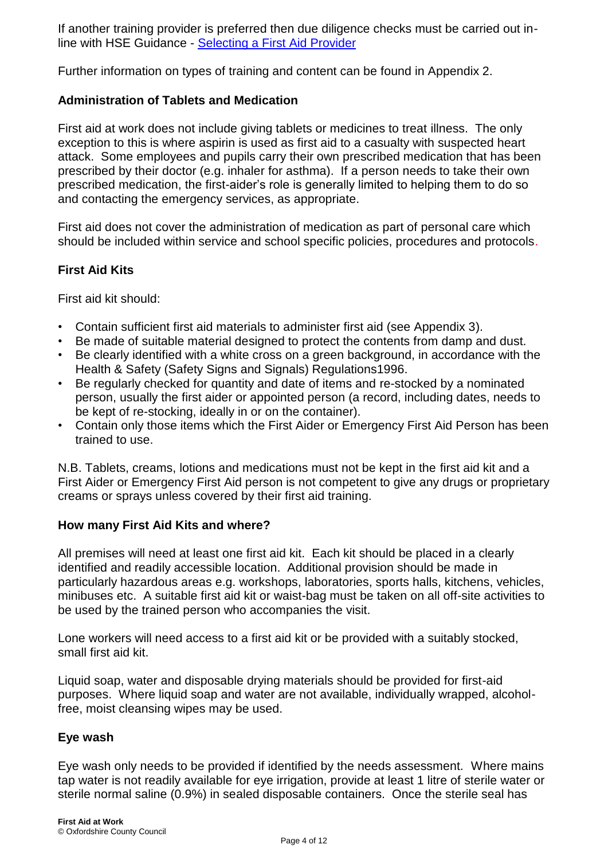If another training provider is preferred then due diligence checks must be carried out inline with HSE Guidance - Selecting a First Aid Provider

Further information on types of training and content can be found in Appendix 2.

#### **Administration of Tablets and Medication**

First aid at work does not include giving tablets or medicines to treat illness. The only exception to this is where aspirin is used as first aid to a casualty with suspected heart attack. Some employees and pupils carry their own prescribed medication that has been prescribed by their doctor (e.g. inhaler for asthma). If a person needs to take their own prescribed medication, the first-aider's role is generally limited to helping them to do so and contacting the emergency services, as appropriate.

First aid does not cover the administration of medication as part of personal care which should be included within service and school specific policies, procedures and protocols.

#### **First Aid Kits**

First aid kit should:

- Contain sufficient first aid materials to administer first aid (see Appendix 3).
- Be made of suitable material designed to protect the contents from damp and dust.
- Be clearly identified with a white cross on a green background, in accordance with the Health & Safety (Safety Signs and Signals) Regulations1996.
- Be regularly checked for quantity and date of items and re-stocked by a nominated person, usually the first aider or appointed person (a record, including dates, needs to be kept of re-stocking, ideally in or on the container).
- Contain only those items which the First Aider or Emergency First Aid Person has been trained to use.

N.B. Tablets, creams, lotions and medications must not be kept in the first aid kit and a First Aider or Emergency First Aid person is not competent to give any drugs or proprietary creams or sprays unless covered by their first aid training.

#### **How many First Aid Kits and where?**

All premises will need at least one first aid kit. Each kit should be placed in a clearly identified and readily accessible location. Additional provision should be made in particularly hazardous areas e.g. workshops, laboratories, sports halls, kitchens, vehicles, minibuses etc. A suitable first aid kit or waist-bag must be taken on all off-site activities to be used by the trained person who accompanies the visit.

Lone workers will need access to a first aid kit or be provided with a suitably stocked, small first aid kit.

Liquid soap, water and disposable drying materials should be provided for first-aid purposes. Where liquid soap and water are not available, individually wrapped, alcoholfree, moist cleansing wipes may be used.

#### **Eye wash**

Eye wash only needs to be provided if identified by the needs assessment. Where mains tap water is not readily available for eye irrigation, provide at least 1 litre of sterile water or sterile normal saline (0.9%) in sealed disposable containers. Once the sterile seal has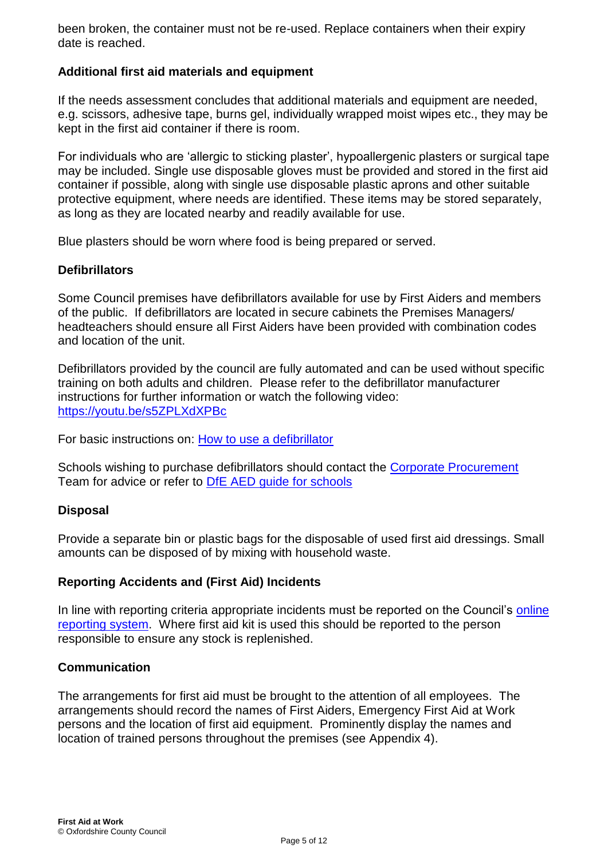been broken, the container must not be re-used. Replace containers when their expiry date is reached.

#### **Additional first aid materials and equipment**

If the needs assessment concludes that additional materials and equipment are needed, e.g. scissors, adhesive tape, burns gel, individually wrapped moist wipes etc., they may be kept in the first aid container if there is room.

For individuals who are 'allergic to sticking plaster', hypoallergenic plasters or surgical tape may be included. Single use disposable gloves must be provided and stored in the first aid container if possible, along with single use disposable plastic aprons and other suitable protective equipment, where needs are identified. These items may be stored separately, as long as they are located nearby and readily available for use.

Blue plasters should be worn where food is being prepared or served.

#### **Defibrillators**

Some Council premises have defibrillators available for use by First Aiders and members of the public. If defibrillators are located in secure cabinets the Premises Managers/ headteachers should ensure all First Aiders have been provided with combination codes and location of the unit.

Defibrillators provided by the council are fully automated and can be used without specific training on both adults and children. Please refer to the defibrillator manufacturer instructions for further information or watch the following video: https://youtu.be/s5ZPLXdXPBc

For basic instructions on: How to use a defibrillator

Schools wishing to purchase defibrillators should contact the Corporate Procurement Team for advice or refer to **DfE AED** guide for schools

#### **Disposal**

Provide a separate bin or plastic bags for the disposable of used first aid dressings. Small amounts can be disposed of by mixing with household waste.

#### **Reporting Accidents and (First Aid) Incidents**

In line with reporting criteria appropriate incidents must be reported on the Council's online reporting system. Where first aid kit is used this should be reported to the person responsible to ensure any stock is replenished.

#### **Communication**

The arrangements for first aid must be brought to the attention of all employees. The arrangements should record the names of First Aiders, Emergency First Aid at Work persons and the location of first aid equipment. Prominently display the names and location of trained persons throughout the premises (see Appendix 4).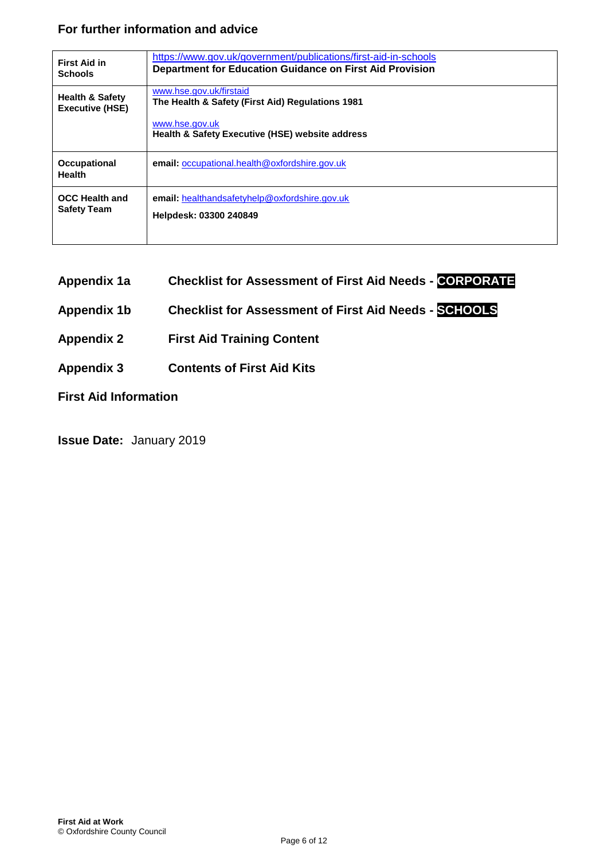#### **For further information and advice**

| <b>First Aid in</b>                                  | https://www.gov.uk/government/publications/first-aid-in-schools                                                                                             |
|------------------------------------------------------|-------------------------------------------------------------------------------------------------------------------------------------------------------------|
| <b>Schools</b>                                       | <b>Department for Education Guidance on First Aid Provision</b>                                                                                             |
| <b>Health &amp; Safety</b><br><b>Executive (HSE)</b> | www.hse.gov.uk/firstaid<br>The Health & Safety (First Aid) Regulations 1981<br>www.hse.gov.uk<br><b>Health &amp; Safety Executive (HSE) website address</b> |
| <b>Occupational</b><br><b>Health</b>                 | <b>email:</b> occupational.health@oxfordshire.gov.uk                                                                                                        |
| <b>OCC Health and</b>                                | <b>email:</b> healthandsafetyhelp@oxfordshire.gov.uk                                                                                                        |
| <b>Safety Team</b>                                   | Helpdesk: 03300 240849                                                                                                                                      |

- **Appendix 1a Checklist for Assessment of First Aid Needs - CORPORATE**
- **Appendix 1b Checklist for Assessment of First Aid Needs - SCHOOLS**
- **Appendix 2 First Aid Training Content**
- **Appendix 3 Contents of First Aid Kits**

**First Aid Information** 

**Issue Date:** January 2019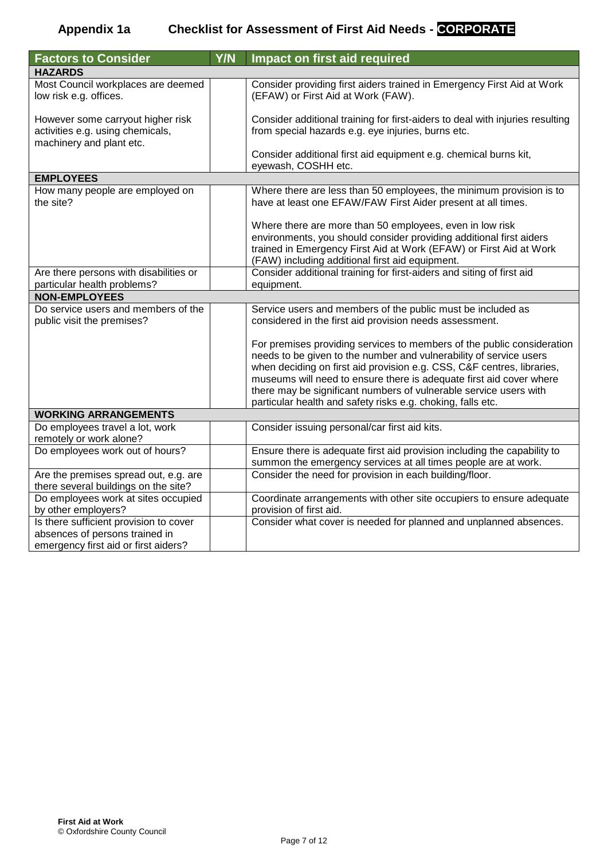#### **Appendix 1a Checklist for Assessment of First Aid Needs - CORPORATE**

| <b>Factors to Consider</b>                                                                                       | Y/N | Impact on first aid required                                                                                                                                                                                                                                                                                                                                                                                                      |
|------------------------------------------------------------------------------------------------------------------|-----|-----------------------------------------------------------------------------------------------------------------------------------------------------------------------------------------------------------------------------------------------------------------------------------------------------------------------------------------------------------------------------------------------------------------------------------|
| <b>HAZARDS</b>                                                                                                   |     |                                                                                                                                                                                                                                                                                                                                                                                                                                   |
| Most Council workplaces are deemed<br>low risk e.g. offices.                                                     |     | Consider providing first aiders trained in Emergency First Aid at Work<br>(EFAW) or First Aid at Work (FAW).                                                                                                                                                                                                                                                                                                                      |
| However some carryout higher risk<br>activities e.g. using chemicals,<br>machinery and plant etc.                |     | Consider additional training for first-aiders to deal with injuries resulting<br>from special hazards e.g. eye injuries, burns etc.                                                                                                                                                                                                                                                                                               |
|                                                                                                                  |     | Consider additional first aid equipment e.g. chemical burns kit,<br>eyewash, COSHH etc.                                                                                                                                                                                                                                                                                                                                           |
| <b>EMPLOYEES</b>                                                                                                 |     |                                                                                                                                                                                                                                                                                                                                                                                                                                   |
| How many people are employed on<br>the site?                                                                     |     | Where there are less than 50 employees, the minimum provision is to<br>have at least one EFAW/FAW First Aider present at all times.                                                                                                                                                                                                                                                                                               |
|                                                                                                                  |     | Where there are more than 50 employees, even in low risk<br>environments, you should consider providing additional first aiders<br>trained in Emergency First Aid at Work (EFAW) or First Aid at Work<br>(FAW) including additional first aid equipment.                                                                                                                                                                          |
| Are there persons with disabilities or<br>particular health problems?                                            |     | Consider additional training for first-aiders and siting of first aid<br>equipment.                                                                                                                                                                                                                                                                                                                                               |
| <b>NON-EMPLOYEES</b>                                                                                             |     |                                                                                                                                                                                                                                                                                                                                                                                                                                   |
| Do service users and members of the                                                                              |     | Service users and members of the public must be included as                                                                                                                                                                                                                                                                                                                                                                       |
| public visit the premises?                                                                                       |     | considered in the first aid provision needs assessment.                                                                                                                                                                                                                                                                                                                                                                           |
|                                                                                                                  |     | For premises providing services to members of the public consideration<br>needs to be given to the number and vulnerability of service users<br>when deciding on first aid provision e.g. CSS, C&F centres, libraries,<br>museums will need to ensure there is adequate first aid cover where<br>there may be significant numbers of vulnerable service users with<br>particular health and safety risks e.g. choking, falls etc. |
| <b>WORKING ARRANGEMENTS</b>                                                                                      |     |                                                                                                                                                                                                                                                                                                                                                                                                                                   |
| Do employees travel a lot, work<br>remotely or work alone?                                                       |     | Consider issuing personal/car first aid kits.                                                                                                                                                                                                                                                                                                                                                                                     |
| Do employees work out of hours?                                                                                  |     | Ensure there is adequate first aid provision including the capability to<br>summon the emergency services at all times people are at work.                                                                                                                                                                                                                                                                                        |
| Are the premises spread out, e.g. are<br>there several buildings on the site?                                    |     | Consider the need for provision in each building/floor.                                                                                                                                                                                                                                                                                                                                                                           |
| Do employees work at sites occupied<br>by other employers?                                                       |     | Coordinate arrangements with other site occupiers to ensure adequate<br>provision of first aid.                                                                                                                                                                                                                                                                                                                                   |
| Is there sufficient provision to cover<br>absences of persons trained in<br>emergency first aid or first aiders? |     | Consider what cover is needed for planned and unplanned absences.                                                                                                                                                                                                                                                                                                                                                                 |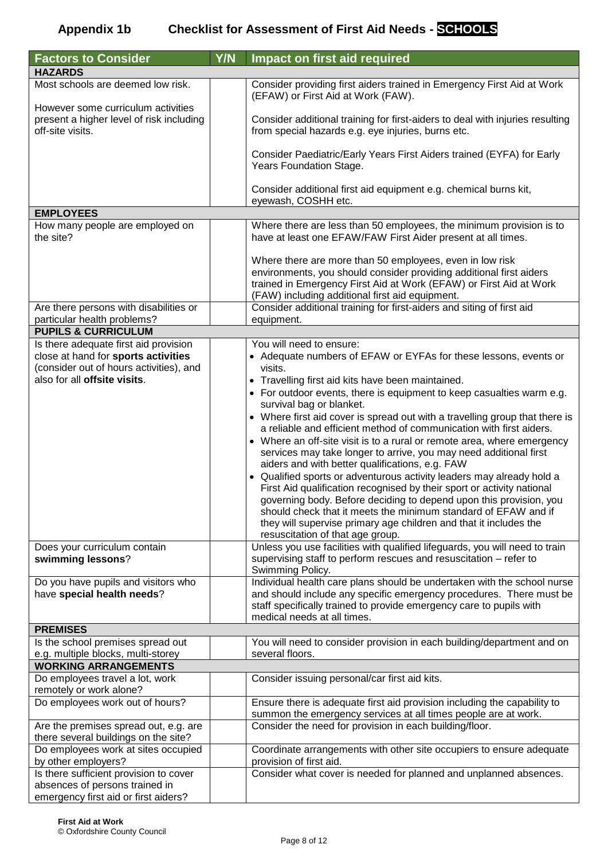| <b>Factors to Consider</b>                                                                         | Y/N | <b>Impact on first aid required</b>                                                                                                                                                                                                                      |
|----------------------------------------------------------------------------------------------------|-----|----------------------------------------------------------------------------------------------------------------------------------------------------------------------------------------------------------------------------------------------------------|
| <b>HAZARDS</b>                                                                                     |     |                                                                                                                                                                                                                                                          |
| Most schools are deemed low risk.                                                                  |     | Consider providing first aiders trained in Emergency First Aid at Work<br>(EFAW) or First Aid at Work (FAW).                                                                                                                                             |
| However some curriculum activities<br>present a higher level of risk including<br>off-site visits. |     | Consider additional training for first-aiders to deal with injuries resulting<br>from special hazards e.g. eye injuries, burns etc.                                                                                                                      |
|                                                                                                    |     | Consider Paediatric/Early Years First Aiders trained (EYFA) for Early<br>Years Foundation Stage.                                                                                                                                                         |
|                                                                                                    |     | Consider additional first aid equipment e.g. chemical burns kit,<br>eyewash, COSHH etc.                                                                                                                                                                  |
| <b>EMPLOYEES</b>                                                                                   |     |                                                                                                                                                                                                                                                          |
| How many people are employed on<br>the site?                                                       |     | Where there are less than 50 employees, the minimum provision is to<br>have at least one EFAW/FAW First Aider present at all times.                                                                                                                      |
|                                                                                                    |     | Where there are more than 50 employees, even in low risk<br>environments, you should consider providing additional first aiders<br>trained in Emergency First Aid at Work (EFAW) or First Aid at Work<br>(FAW) including additional first aid equipment. |
| Are there persons with disabilities or<br>particular health problems?                              |     | Consider additional training for first-aiders and siting of first aid<br>equipment.                                                                                                                                                                      |
| <b>PUPILS &amp; CURRICULUM</b>                                                                     |     |                                                                                                                                                                                                                                                          |
| Is there adequate first aid provision                                                              |     | You will need to ensure:                                                                                                                                                                                                                                 |
| close at hand for sports activities                                                                |     | • Adequate numbers of EFAW or EYFAs for these lessons, events or                                                                                                                                                                                         |
| (consider out of hours activities), and                                                            |     | visits.                                                                                                                                                                                                                                                  |
| also for all offsite visits.                                                                       |     | • Travelling first aid kits have been maintained.                                                                                                                                                                                                        |
|                                                                                                    |     | • For outdoor events, there is equipment to keep casualties warm e.g.                                                                                                                                                                                    |
|                                                                                                    |     | survival bag or blanket.                                                                                                                                                                                                                                 |
|                                                                                                    |     | • Where first aid cover is spread out with a travelling group that there is                                                                                                                                                                              |
|                                                                                                    |     | a reliable and efficient method of communication with first aiders.                                                                                                                                                                                      |
|                                                                                                    |     | • Where an off-site visit is to a rural or remote area, where emergency                                                                                                                                                                                  |
|                                                                                                    |     | services may take longer to arrive, you may need additional first                                                                                                                                                                                        |
|                                                                                                    |     | aiders and with better qualifications, e.g. FAW<br>• Qualified sports or adventurous activity leaders may already hold a                                                                                                                                 |
|                                                                                                    |     | First Aid qualification recognised by their sport or activity national                                                                                                                                                                                   |
|                                                                                                    |     | governing body. Before deciding to depend upon this provision, you                                                                                                                                                                                       |
|                                                                                                    |     | should check that it meets the minimum standard of EFAW and if                                                                                                                                                                                           |
|                                                                                                    |     | they will supervise primary age children and that it includes the                                                                                                                                                                                        |
|                                                                                                    |     | resuscitation of that age group.                                                                                                                                                                                                                         |
| Does your curriculum contain                                                                       |     | Unless you use facilities with qualified lifeguards, you will need to train                                                                                                                                                                              |
| swimming lessons?                                                                                  |     | supervising staff to perform rescues and resuscitation - refer to                                                                                                                                                                                        |
|                                                                                                    |     | Swimming Policy.                                                                                                                                                                                                                                         |
| Do you have pupils and visitors who                                                                |     | Individual health care plans should be undertaken with the school nurse                                                                                                                                                                                  |
| have special health needs?                                                                         |     | and should include any specific emergency procedures. There must be                                                                                                                                                                                      |
|                                                                                                    |     | staff specifically trained to provide emergency care to pupils with<br>medical needs at all times.                                                                                                                                                       |
| <b>PREMISES</b>                                                                                    |     |                                                                                                                                                                                                                                                          |
| Is the school premises spread out                                                                  |     | You will need to consider provision in each building/department and on                                                                                                                                                                                   |
| e.g. multiple blocks, multi-storey                                                                 |     | several floors.                                                                                                                                                                                                                                          |
| <b>WORKING ARRANGEMENTS</b>                                                                        |     |                                                                                                                                                                                                                                                          |
| Do employees travel a lot, work                                                                    |     | Consider issuing personal/car first aid kits.                                                                                                                                                                                                            |
| remotely or work alone?                                                                            |     |                                                                                                                                                                                                                                                          |
| Do employees work out of hours?                                                                    |     | Ensure there is adequate first aid provision including the capability to<br>summon the emergency services at all times people are at work.                                                                                                               |
| Are the premises spread out, e.g. are                                                              |     | Consider the need for provision in each building/floor.                                                                                                                                                                                                  |
| there several buildings on the site?                                                               |     |                                                                                                                                                                                                                                                          |
| Do employees work at sites occupied                                                                |     | Coordinate arrangements with other site occupiers to ensure adequate                                                                                                                                                                                     |
| by other employers?                                                                                |     | provision of first aid.                                                                                                                                                                                                                                  |
| Is there sufficient provision to cover                                                             |     | Consider what cover is needed for planned and unplanned absences.                                                                                                                                                                                        |
| absences of persons trained in                                                                     |     |                                                                                                                                                                                                                                                          |
| emergency first aid or first aiders?                                                               |     |                                                                                                                                                                                                                                                          |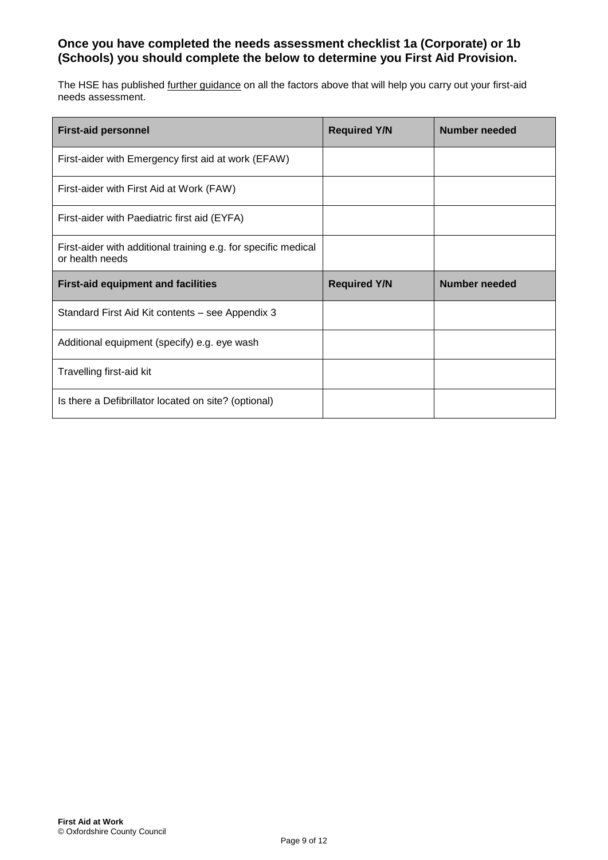#### **Once you have completed the needs assessment checklist 1a (Corporate) or 1b (Schools) you should complete the below to determine you First Aid Provision.**

The HSE has published further guidance on all the factors above that will help you carry out your first-aid needs assessment.

| <b>First-aid personnel</b>                                                        | <b>Required Y/N</b> | <b>Number needed</b> |
|-----------------------------------------------------------------------------------|---------------------|----------------------|
| First-aider with Emergency first aid at work (EFAW)                               |                     |                      |
| First-aider with First Aid at Work (FAW)                                          |                     |                      |
| First-aider with Paediatric first aid (EYFA)                                      |                     |                      |
| First-aider with additional training e.g. for specific medical<br>or health needs |                     |                      |
| <b>First-aid equipment and facilities</b>                                         | <b>Required Y/N</b> | <b>Number needed</b> |
| Standard First Aid Kit contents – see Appendix 3                                  |                     |                      |
| Additional equipment (specify) e.g. eye wash                                      |                     |                      |
| Travelling first-aid kit                                                          |                     |                      |
| Is there a Defibrillator located on site? (optional)                              |                     |                      |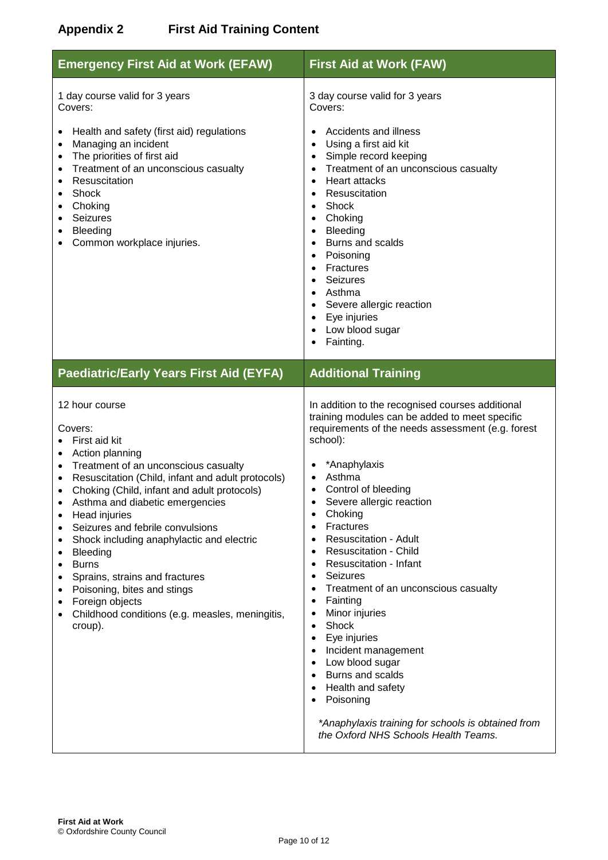#### **Appendix 2 First Aid Training Content**

| <b>Emergency First Aid at Work (EFAW)</b>                                                                                                                                                                                                                                                                                                                                                                                                                                                                                                                                                                                        | <b>First Aid at Work (FAW)</b>                                                                                                                                                                                                                                                                                                                                                                                                                                                                                                                                                                                                                                                                                                                                                                                                                                                                                                                   |  |
|----------------------------------------------------------------------------------------------------------------------------------------------------------------------------------------------------------------------------------------------------------------------------------------------------------------------------------------------------------------------------------------------------------------------------------------------------------------------------------------------------------------------------------------------------------------------------------------------------------------------------------|--------------------------------------------------------------------------------------------------------------------------------------------------------------------------------------------------------------------------------------------------------------------------------------------------------------------------------------------------------------------------------------------------------------------------------------------------------------------------------------------------------------------------------------------------------------------------------------------------------------------------------------------------------------------------------------------------------------------------------------------------------------------------------------------------------------------------------------------------------------------------------------------------------------------------------------------------|--|
| 1 day course valid for 3 years<br>Covers:<br>Health and safety (first aid) regulations<br>Managing an incident<br>The priorities of first aid<br>Treatment of an unconscious casualty<br>Resuscitation<br>Shock<br>Choking<br><b>Seizures</b><br>Bleeding<br>Common workplace injuries.                                                                                                                                                                                                                                                                                                                                          | 3 day course valid for 3 years<br>Covers:<br>Accidents and illness<br>Using a first aid kit<br>$\bullet$<br>Simple record keeping<br>$\bullet$<br>Treatment of an unconscious casualty<br>$\bullet$<br><b>Heart attacks</b><br>$\bullet$<br>Resuscitation<br>Shock<br>$\bullet$<br>Choking<br>$\bullet$<br>Bleeding<br>$\bullet$<br>Burns and scalds<br>$\bullet$<br>Poisoning<br>$\bullet$<br>Fractures<br>$\bullet$<br>Seizures<br>$\bullet$<br>Asthma<br>$\bullet$<br>Severe allergic reaction<br>$\bullet$<br>Eye injuries<br>$\bullet$<br>Low blood sugar<br>$\bullet$<br>Fainting.                                                                                                                                                                                                                                                                                                                                                         |  |
| <b>Paediatric/Early Years First Aid (EYFA)</b>                                                                                                                                                                                                                                                                                                                                                                                                                                                                                                                                                                                   | <b>Additional Training</b>                                                                                                                                                                                                                                                                                                                                                                                                                                                                                                                                                                                                                                                                                                                                                                                                                                                                                                                       |  |
| 12 hour course<br>Covers:<br>First aid kit<br>Action planning<br>$\bullet$<br>Treatment of an unconscious casualty<br>$\bullet$<br>Resuscitation (Child, infant and adult protocols)<br>$\bullet$<br>Choking (Child, infant and adult protocols)<br>$\bullet$<br>Asthma and diabetic emergencies<br>$\bullet$<br>Head injuries<br>$\bullet$<br>Seizures and febrile convulsions<br>Shock including anaphylactic and electric<br>٠<br><b>Bleeding</b><br>٠<br><b>Burns</b><br>٠<br>Sprains, strains and fractures<br>Poisoning, bites and stings<br>Foreign objects<br>Childhood conditions (e.g. measles, meningitis,<br>croup). | In addition to the recognised courses additional<br>training modules can be added to meet specific<br>requirements of the needs assessment (e.g. forest<br>school):<br>*Anaphylaxis<br>Asthma<br>$\bullet$<br>Control of bleeding<br>$\bullet$<br>Severe allergic reaction<br>$\bullet$<br>Choking<br>$\bullet$<br>Fractures<br>$\bullet$<br><b>Resuscitation - Adult</b><br>$\bullet$<br><b>Resuscitation - Child</b><br>$\bullet$<br>Resuscitation - Infant<br>$\bullet$<br><b>Seizures</b><br>$\bullet$<br>Treatment of an unconscious casualty<br>$\bullet$<br>Fainting<br>$\bullet$<br>Minor injuries<br>$\bullet$<br>Shock<br>$\bullet$<br>Eye injuries<br>$\bullet$<br>Incident management<br>$\bullet$<br>Low blood sugar<br>$\bullet$<br><b>Burns and scalds</b><br>$\bullet$<br>Health and safety<br>$\bullet$<br>Poisoning<br>$\bullet$<br>*Anaphylaxis training for schools is obtained from<br>the Oxford NHS Schools Health Teams. |  |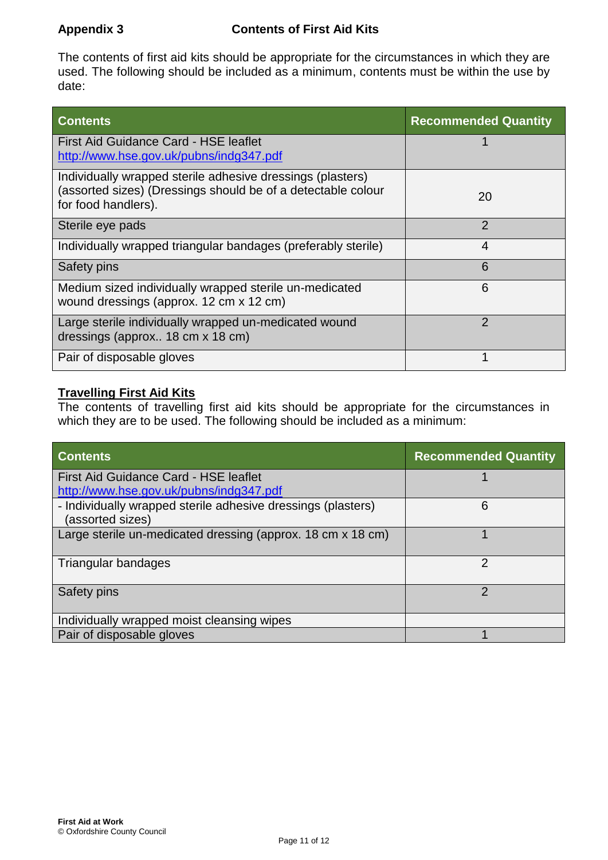The contents of first aid kits should be appropriate for the circumstances in which they are used. The following should be included as a minimum, contents must be within the use by date:

| <b>Contents</b>                                                                                                                                   | <b>Recommended Quantity</b> |
|---------------------------------------------------------------------------------------------------------------------------------------------------|-----------------------------|
| <b>First Aid Guidance Card - HSE leaflet</b><br>http://www.hse.gov.uk/pubns/indg347.pdf                                                           |                             |
| Individually wrapped sterile adhesive dressings (plasters)<br>(assorted sizes) (Dressings should be of a detectable colour<br>for food handlers). | 20                          |
| Sterile eye pads                                                                                                                                  | $\mathcal{P}$               |
| Individually wrapped triangular bandages (preferably sterile)                                                                                     | 4                           |
| Safety pins                                                                                                                                       | 6                           |
| Medium sized individually wrapped sterile un-medicated<br>wound dressings (approx. 12 cm x 12 cm)                                                 | 6                           |
| Large sterile individually wrapped un-medicated wound<br>dressings (approx 18 cm x 18 cm)                                                         | $\mathcal{P}$               |
| Pair of disposable gloves                                                                                                                         |                             |

#### **Travelling First Aid Kits**

The contents of travelling first aid kits should be appropriate for the circumstances in which they are to be used. The following should be included as a minimum:

| <b>Contents</b>                                                                  | <b>Recommended Quantity</b> |
|----------------------------------------------------------------------------------|-----------------------------|
| First Aid Guidance Card - HSE leaflet<br>http://www.hse.gov.uk/pubns/indg347.pdf |                             |
| - Individually wrapped sterile adhesive dressings (plasters)<br>(assorted sizes) | 6                           |
| Large sterile un-medicated dressing (approx. 18 cm x 18 cm)                      |                             |
| Triangular bandages                                                              | $\mathcal{P}$               |
| Safety pins                                                                      | っ                           |
| Individually wrapped moist cleansing wipes                                       |                             |
| Pair of disposable gloves                                                        |                             |